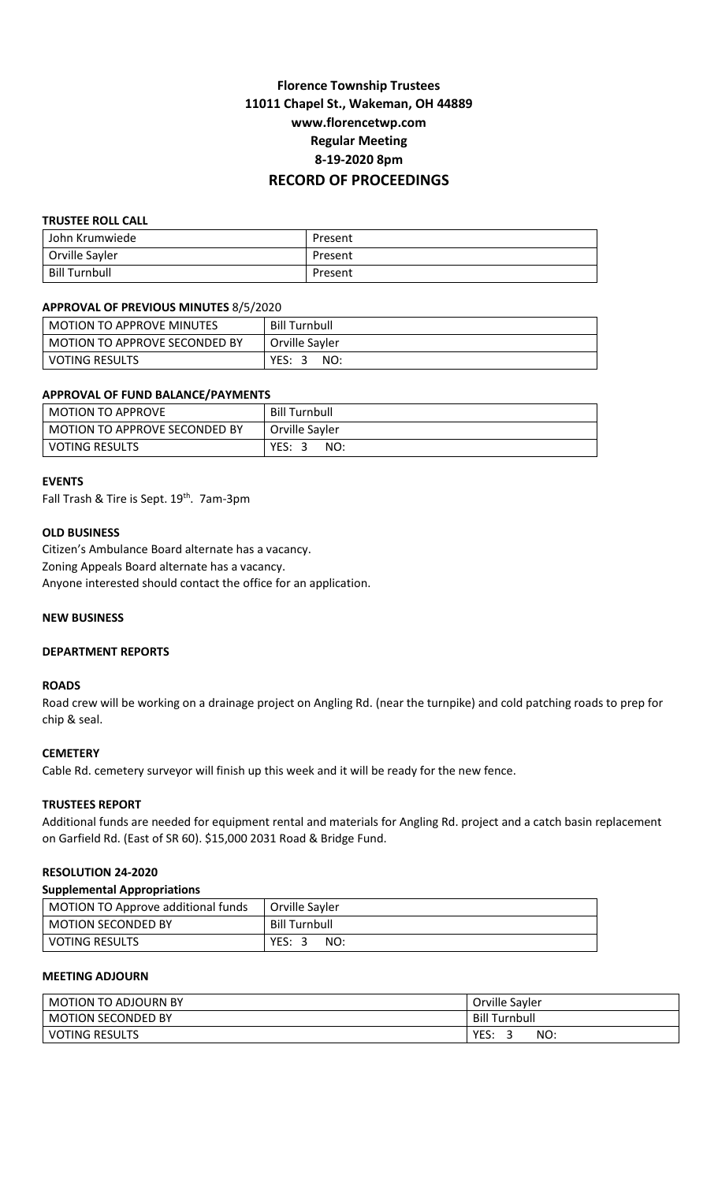# **Florence Township Trustees 11011 Chapel St., Wakeman, OH 44889 www.florencetwp.com Regular Meeting 8-19-2020 8pm RECORD OF PROCEEDINGS**

## **TRUSTEE ROLL CALL**

| John Krumwiede | Present |
|----------------|---------|
| Orville Sayler | Present |
| Bill Turnbull  | Present |

#### **APPROVAL OF PREVIOUS MINUTES** 8/5/2020

| <b>MOTION TO APPROVE MINUTES</b> | <b>Bill Turnbull</b> |
|----------------------------------|----------------------|
| MOTION TO APPROVE SECONDED BY    | Orville Sayler       |
| <b>VOTING RESULTS</b>            | YES: 3<br>NO:        |

## **APPROVAL OF FUND BALANCE/PAYMENTS**

| <b>MOTION TO APPROVE</b>      | <b>Bill Turnbull</b> |
|-------------------------------|----------------------|
| MOTION TO APPROVE SECONDED BY | Orville Sayler       |
| VOTING RESULTS                | YES: 3<br>NO:        |

#### **EVENTS**

Fall Trash & Tire is Sept. 19<sup>th</sup>. 7am-3pm

#### **OLD BUSINESS**

Citizen's Ambulance Board alternate has a vacancy. Zoning Appeals Board alternate has a vacancy. Anyone interested should contact the office for an application.

#### **NEW BUSINESS**

#### **DEPARTMENT REPORTS**

#### **ROADS**

Road crew will be working on a drainage project on Angling Rd. (near the turnpike) and cold patching roads to prep for chip & seal.

## **CEMETERY**

Cable Rd. cemetery surveyor will finish up this week and it will be ready for the new fence.

## **TRUSTEES REPORT**

Additional funds are needed for equipment rental and materials for Angling Rd. project and a catch basin replacement on Garfield Rd. (East of SR 60). \$15,000 2031 Road & Bridge Fund.

## **RESOLUTION 24-2020**

#### **Supplemental Appropriations**

| MOTION TO Approve additional funds | Orville Savler       |
|------------------------------------|----------------------|
| <b>MOTION SECONDED BY</b>          | <b>Bill Turnbull</b> |
| I VOTING RESULTS                   | YES: 3<br>NO:        |

## **MEETING ADJOURN**

| MOTION TO ADJOURN BY      | Orville Sayler       |
|---------------------------|----------------------|
| <b>MOTION SECONDED BY</b> | <b>Bill Turnbull</b> |
| <b>VOTING RESULTS</b>     | YES.<br>NO:          |